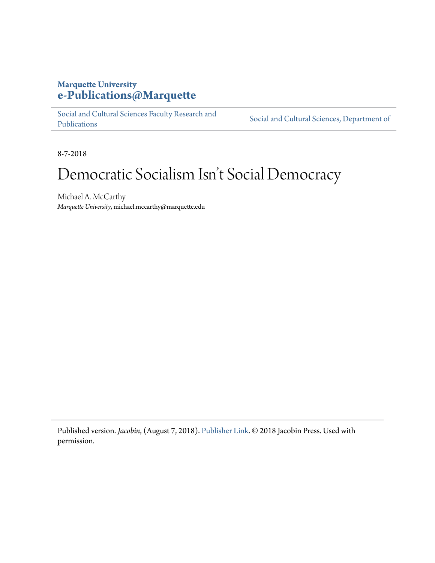# **Marquette University [e-Publications@Marquette](https://epublications.marquette.edu/)**

[Social and Cultural Sciences Faculty Research and](https://epublications.marquette.edu/socs_fac) [Publications](https://epublications.marquette.edu/socs_fac)

[Social and Cultural Sciences, Department of](https://epublications.marquette.edu/socs)

8-7-2018

# Democratic Socialism Isn 't Social Democracy

Michael A. McCarthy *Marquette University*, michael.mccarthy@marquette.edu

Published version. *Jacobin*, (August 7, 2018). [Publisher Link.](https://jacobinmag.com/2018/08/democratic-socialism-social-democracy-nordic-countries) © 2018 Jacobin Press. Used with permission.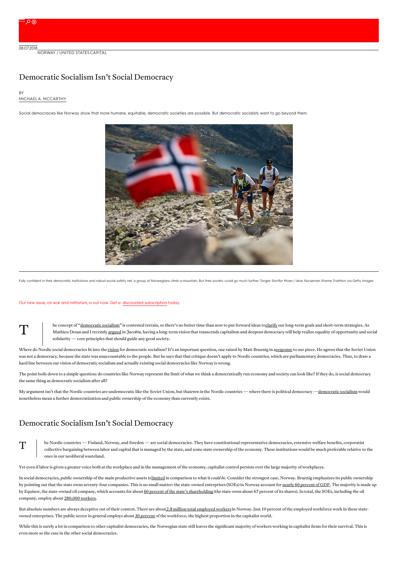# Democratic Socialism Isn't Social Democracy

# BY<br>MICHAEL A. [MCCARTHY](https://jacobinmag.com/author/michael-a-mccarthy)

 $T$  |

Social democracies like Norway show that more humane, equitable, democratic societies are possible. But democratic socialists want to go beyond them.



Fully confident in their democratic institutions and robust social safety net, a group of Norwegians climb a mountain. But their society could go much further. Torgeir Storflor Moen / Iskar Norseman Xtreme Triathlon via Ge

#### Our new issue, on war and militarism, is out now. Get a discounted [subscription](https://jacobinmag.com/subscribe/?code=WARISARACKET) today.

he concept of "[democratic](https://jacobinmag.com/2018/07/democratic-socialism-bernie-sanders-social-democracy-alexandria-ocasio-cortez) socialism" is contested terrain, so there's no better time than now to put forward ideas to[clarify](https://www.vox.com/first-person/2018/8/1/17637028/bernie-sanders-alexandria-ocasio-cortez-cynthia-nixon-democratic-socialism-jacobin-dsa) our long-term goals and short-term strategies. As Mathieu Desan and I recently [argued](https://jacobinmag.com/2018/07/socialism-democrats-alexandria-ocasio-cortez) in*Jacobin,* having a long-term vision that transcends capitalism and deepens democracy will help realize equality of opportunity and social solidarity—core principles that should guide any good society.

Where do Nordic social democracies fit into the [vision](https://jacobinmag.com/2018/07/democratic-socialism-dsa-nixon-ocasio-cortez) for democratic socialism? It's an important question, one raised by Matt Bruenig in [aresponse](https://www.peoplespolicyproject.org/2018/08/01/are-state-officials-in-nordic-countries-unaccountable/) to our piece. He agrees that the Soviet Union was not a democracy, because the state was unaccountable to the people. But he says that that critique doesn't apply to Nordic countries, which *are* parliamentary democracies. Thus, to draw a hard line between our vision of democratic socialism and actually existing social democracies like Norway is wrong.

The point boils down to a simple question: do countries like Norway represent the limit of what we think a democratically run economy and society can look like? If they do, is social democracy the same thing as democratic socialism after all?

My argument isn't that the Nordic countries are undemocratic like the Soviet Union, but that*even in* the Nordic countries—where there is political democracy[—democratic](https://www.jacobinmag.com/2018/07/what-is-democratic-socialism) socialism would nonetheless mean a further democratization and public ownership of the economy than currently exists.

# Democratic Socialism Isn't Social Democracy

 $\mathsf T$ he Nordic countries—Finland, Norway, and Sweden—are social democracies. They have constitutional representative democracies, extensive welfare benefits, corporatist collective bargaining between labor and capital that is managed by the state, and some state ownership of the economy. These institutions would be much preferable relative to the ones in our neoliberal wasteland.

Yet even if labor is given a greater voice both at the workplace and in the management of the economy, capitalist control persists over the large majority of workplaces.

In social democracies, public ownership of the main productive assets is[limited](https://www.jacobinmag.com/2018/01/social-democracy-socialism-ralph-miliband) in comparison to what it *could be*. Consider the strongest case, Norway. Bruenig emphasizes its public ownership by pointing out that the state owns seventy-four companies. This is no small matter: the state-owned enterprises (SOEs) in Norway account for nearly 60 [percent](https://www.export.gov/article?id=Norway-competition-from-state-owned-enterprises) of GDP. The majority is made up by Equinor, the state-owned oil company, which accounts for about 60 percent of the state's [shareholding](https://www.regjeringen.no/contentassets/b7e367d388ba41dd839f34d64c0e4cc1/the-state-ownership-report-2016.pdf) (the state owns about 67 percent of its shares). In total, the SOEs, including the oil company, employ about [280,000](https://www.regjeringen.no/en/topics/business-and-industry/state-ownership/statens-eierberetning-2013/the-state-ownership-report/id2395364/) workers.

But absolute numbers are always deceptive out of their context. There are about 2.8 million total [employed](https://data.oecd.org/jobs.htm) workers in Norway. Just 10 percent of the employed workforce work in these stateowned enterprises. The public sector in general employs about  $\underline{30}$  [percent](http://www.oecd.org/gov/government-at-a-glance-22214399.htm) of the workforce, the highest proportion in the capitalist world.

While this is surely a lot in comparison to other capitalist democracies, the Norwegian state still leaves the significant majority of workers working in capitalist firms for their survival. This is even more so the case in the other social democracies.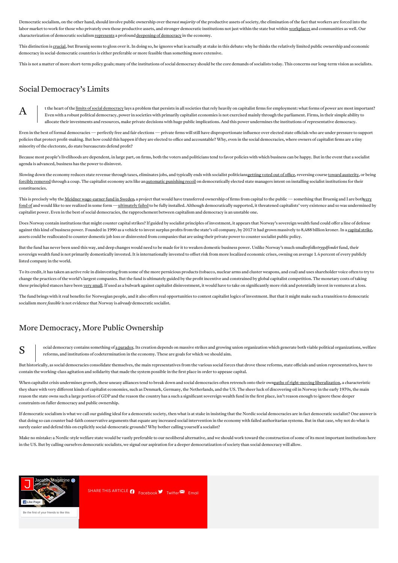Democratic socialism, on the other hand, should involve public ownership over the*vast majority* of the productive assets of society, the elimination of the fact that workers are forced into the labor market to work for those who privately own those productive assets, and stronger democratic institutions not just within the state but within [workplaces](https://www.jacobinmag.com/2018/01/freedom-from-the-boss) and communities as well. Our characterization of democratic socialism [represents](https://jacobinmag.com/2018/07/socialism-democracy-liberals-conservatives) a profounddeepening of [democracy](https://jacobinmag.com/2018/07/democratic-socialism-democracy-ocasio-cortez) in the economy.

This distinction is [crucial](https://www.cambridge.org/core/journals/american-political-science-review/article/right-to-strike-a-radical-view/8B521F67E28D4FAE1967B17959620424), but Bruenig seems to gloss over it. In doing so, he ignores what is actually at stake in this debate: why he thinks the relatively limited public ownership and economic democracy in social-democratic countries is either preferable or more feasible than something more extensive.

This is not a matter of more short-term policy goals; many of the institutions of social democracy should be the core demands of socialists today. This concerns our long-term vision as socialists.

# Social Democracy's Limits

A

S

t the heart of the limits of social [democracy](https://www.jacobinmag.com/2017/08/democratic-socialism-judis-new-republic-social-democracy-capitalism) lays a problem that persists in all societies that rely heavily on capitalist firms for employment: what forms of power are most important? Even with a robust political democracy, power in societies with primarily capitalist economies is not exercised mainly through the parliament. Firms, in their simple ability to allocate their investments and resources, make private decisions with huge public implications. And this power undermines the institutions of representative democracy.

Even in the best of formal democracies—perfectly free and fair elections—private firms will still have disproportionate influence over elected state officials who are under pressure to support policies that protect profit-making. But how could this happen if they are elected to office and accountable? Why, even in the social democracies, where owners of capitalist firms are a tiny minority of the electorate, do state bureaucrats defend profit?

Because most people's livelihoods are dependent, in large part, on firms, both the voters and politicians tend to favor policies with which business can be happy. But in the event that a socialist agenda is advanced, business has the power to disinvest.

Slowing down the economy reduces state revenue through taxes, eliminates jobs, and typically ends with socialist politician[sgetting](http://www.cornellpress.cornell.edu/book/?GCOI=80140100439360) voted out of office, reversing course toward [austerity](https://www.jacobinmag.com/2015/08/francois-mitterrand-socialist-party-common-program-communist-pcf-1981-elections-austerity/), or being forcibly [removed](https://www.jacobinmag.com/2016/09/chile-coup-santiago-allende-social-democracy-september-11-2) through a coup. The capitalist economy acts like an [automatic](https://www.jstor.org/stable/2130588) punishing recoil on democratically elected state managers intent on installing socialist institutions for their constituencies.

This is precisely why the Meidner [wage-earner](https://www.jacobinmag.com/2017/11/social-democracy-sweden-meidner-plan-socialism) fund in Sweden, a project that would have transferred ownership of firms from capital to the public — something that Bruenig and I are bothvery. fond of and would like to see realized in some form —[ultimately](https://books.google.com/books/about/The_limits_of_social_democracy.html?id=PC-gAAAAIAAJ) failed to be fully installed. Although democratically supported, it threatened capitalists' very existence and so was undermined by capitalist power. Even in the best of social democracies, the rapprochement between capitalism and democracy is an unstable one.

Does Norway contain institutions that might counter capital strikes? If guided by socialist principles of investment, it appears that Norway's sovereign wealth fund could oFer a line of defense against this kind of business power. Founded in 1990 as a vehicle to invest surplus profits from the state's oil company, by 2017 it had grown massively to 8,488 billion kroner. In a [capital](https://www.jacobinmag.com/2017/02/capital-strike-regulations-lending-productivity-economy-banks-bailout) strike, assets could be reallocated to counter domestic job loss or disinvested from companies that are using their private power to counter socialist public policy.

But the fund has never been used this way, and deep changes would need to be made for it to weaken domestic business power. Unlike Norway's much smaller*folketrygdfondet* fund, their sovereign wealth fund is not primarily domestically invested. It is internationally invested to offset risk from more localized economic crises, owning on average 1.4 percent of every publicly listed company in the world.

To its credit, it has taken an active role in disinvesting from some of the more pernicious products (tobacco, nuclear arms and cluster weapons, and coal) and uses shareholder voice often to try to change the practices of the world's largest companies. But the fund is ultimately guided by the profit incentive and constrained by global capitalist competition. The monetary costs of taking these principled stances have been very [small.](https://www.ft.com/content/93b76b22-22ca-11e8-add1-0e8958b189ea) If used as a bulwark against capitalist disinvestment, it would have to take on significantly more risk and potentially invest in ventures at a loss.

The fund brings with it real benefits for Norwegian people, and it also offers real opportunities to contest capitalist logics of investment. But that it might make such a transition to democratic socialism more *feasible* is not evidence that Norway is *already* democratic socialist.

# More Democracy, More Public Ownership

ocial democracy contains something of a [paradox](https://www.versobooks.com/blogs/2508-the-paradox-of-social-democracy-the-american-case-part-one). Its creation depends on massive strikes and growing union organization which generate both viable political organizations, welfare reforms, and institutions of codetermination in the economy. These are goals for which we should aim.

But historically, as social democracies consolidate themselves, the main representatives from the various social forces that drove those reforms, state officials and union representatives, have to contain the working-class agitation and solidarity that made the system possible in the first place in order to appease capital.

When capitalist crisis undermines growth, these uneasy alliances tend to break down and social democracies often retrench onto their ownpaths of [right-moving](https://books.google.com/books/about/Varieties_of_Liberalization_and_the_New.html?id=AUlJnwEACAAJ) liberalization, a characteristic they share with very different kinds of capitalist economies, such as Denmark, Germany, the Netherlands, and the US. The sheer luck of discovering oil in Norway in the early 1970s, the main reason the state owns such a large portion of GDP and the reason the country has a such a significant sovereign wealth fund in the first place, isn't reason enough to ignore these deeper constraints on fuller democracy and public ownership.

If democratic socialism is what we call our guiding ideal for a democratic society, then what is at stake in insisting that the Nordic social democracies are in fact democratic socialist? One answer is that doing so can counter bad-faith conservative arguments that equate any increased social intervention in the economy with failed authoritarian systems. But in that case, why not do what is surely easier and defend this on explicitly social-democratic grounds? Why bother calling yourself a socialist?

Make no mistake: a Nordic-style welfare state would be vastly preferable to our neoliberal alternative, and we should work toward the construction of some of its most important institutions here in the US. But by calling ourselves democratic socialists, we signal our aspiration for a deeper democratization of society than social democracy will allow.



SHARE THIS ARTICLE **(1)** Facebook  $\blacksquare$  Twitter [Email](mailto:?subject=Democratic Socialism Isn?t Social Democracy&body=https://jacobinmag.com/2018/08/democratic-socialism-social-democracy-nordic-countries)

Be the first of your friends to like this